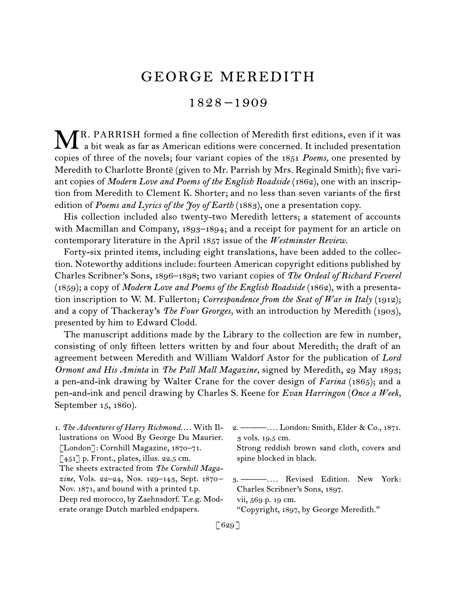# GEORGE MEREDITH

# 1828 –1909

R. PARRISH formed a fine collection of Meredith first editions, even if it was MR. PARRISH formed a fine collection of Meredith first editions, even if it was a bit weak as far as American editions were concerned. It included presentation copies of three of the novels; four variant copies of the 1851 *Poems,* one presented by Meredith to Charlotte Brontë (given to Mr. Parrish by Mrs. Reginald Smith); five variant copies of *Modern Love and Poems of the English Roadside* (1862), one with an inscription from Meredith to Clement K. Shorter; and no less than seven variants of the first edition of *Poems and Lyrics of the Joy of Earth* (1883), one a presentation copy.

His collection included also twenty-two Meredith letters; a statement of accounts with Macmillan and Company, 1893–1894; and a receipt for payment for an article on contemporary literature in the April 1857 issue of the *Westminster Review.*

Forty-six printed items, including eight translations, have been added to the collection. Noteworthy additions include: fourteen American copyright editions published by Charles Scribner's Sons, 1896–1898; two variant copies of *The Ordeal of Richard Feverel*  (1859); a copy of *Modern Love and Poems of the English Roadside* (1862), with a presentation inscription to W. M. Fullerton; *Correspondence from the Seat of War in Italy* (1912); and a copy of Thackeray's *The Four Georges,* with an introduction by Meredith (1903), presented by him to Edward Clodd.

The manuscript additions made by the Library to the collection are few in number, consisting of only fifteen letters written by and four about Meredith; the draft of an agreement between Meredith and William Waldorf Astor for the publication of *Lord Ormont and His Aminta* in *The Pall Mall Magazine,* signed by Meredith, 29 May 1893; a pen-and-ink drawing by Walter Crane for the cover design of *Farina* (1865); and a pen-and-ink and pencil drawing by Charles S. Keene for *Evan Harringon* (*Once a Week,*  September 15, 1860).

- 1. *The Adventures of Harry Richmond. . . .* With Illustrations on Wood By George Du Maurier. [London]: Cornhill Magazine, 1870–71. [451] p. Front., plates, illus. 22.5 cm. The sheets extracted from *The Cornhill Magazine,* Vols. 22–24, Nos. 129–143, Sept. 1870 – Nov. 1871, and bound with a printed t.p. Deep red morocco, by Zaehnsdorf. T.e.g. Moderate orange Dutch marbled endpapers.
- 2. ———*. . . .* London: Smith, Elder & Co., 1871. 3 vols. 19.5 cm.

Strong reddish brown sand cloth, covers and spine blocked in black.

3. ———*. . . .* Revised Edition. New York: Charles Scribner's Sons, 1897.

vii, 569 p. 19 cm.

"Copyright, 1897, by George Meredith."

[629]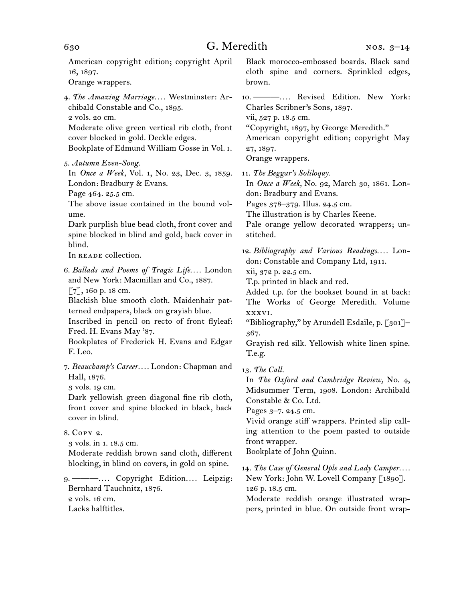American copyright edition; copyright April 16, 1897. Orange wrappers. 4. *The Amazing Marriage. . . .* Westminster: Archibald Constable and Co., 1895. 2 vols. 20 cm. Moderate olive green vertical rib cloth, front cover blocked in gold. Deckle edges. Bookplate of Edmund William Gosse in Vol. i. 5. *Autumn Even-Song.* In *Once a Week,* Vol. 1, No. 23, Dec. 3, 1859. London: Bradbury & Evans. Page 464. 25.5 cm. The above issue contained in the bound volume. Dark purplish blue bead cloth, front cover and spine blocked in blind and gold, back cover in blind. In READE collection. 6. *Ballads and Poems of Tragic Life. . . .* London and New York: Macmillan and Co., 1887. [7], 160 p. 18 cm. Blackish blue smooth cloth. Maidenhair patterned endpapers, black on grayish blue. Inscribed in pencil on recto of front flyleaf: Fred. H. Evans May '87. Bookplates of Frederick H. Evans and Edgar F. Leo. 7. *Beauchamp's Career. . . .* London: Chapman and Hall, 1876. 3 vols. 19 cm. Dark yellowish green diagonal fine rib cloth, front cover and spine blocked in black, back cover in blind. 8. Copy 2. 3 vols. in 1. 18.5 cm. Moderate reddish brown sand cloth, different blocking, in blind on covers, in gold on spine. 9. ———*. . . .* Copyright Edition*. . . .* Leipzig: Bernhard Tauchnitz, 1876. 2 vols. 16 cm. Lacks halftitles. Black morocco-embossed boards. Black sand cloth spine and corners. Sprinkled edges, brown. 10. ———*. . . .* Revised Edition. New York: Charles Scribner's Sons, 1897. vii, 527 p. 18.5 cm. "Copyright, 1897, by George Meredith." American copyright edition; copyright May 27, 1897. Orange wrappers. 11. *The Beggar's Soliloquy.* In *Once a Week,* No. 92, March 30, 1861. London: Bradbury and Evans. Pages 378–379. Illus. 24.5 cm. The illustration is by Charles Keene. Pale orange yellow decorated wrappers; unstitched. 12. *Bibliography and Various Readings. . . .* London: Constable and Company Ltd, 1911. xii, 372 p. 22.5 cm. T.p. printed in black and red. Added t.p. for the bookset bound in at back: The Works of George Meredith. Volume xxxvi. "Bibliography," by Arundell Esdaile, p. [301]– 367. Grayish red silk. Yellowish white linen spine. T.e.g. 13. *The Call.* In *The Oxford and Cambridge Review,* No. 4, Midsummer Term, 1908. London: Archibald Constable & Co. Ltd. Pages 3–7. 24.5 cm. Vivid orange stiff wrappers. Printed slip calling attention to the poem pasted to outside front wrapper. Bookplate of John Quinn. 14. *The Case of General Ople and Lady Camper. . . .* New York: John W. Lovell Company [1890]. 126 p. 18.5 cm. Moderate reddish orange illustrated wrappers, printed in blue. On outside front wrap-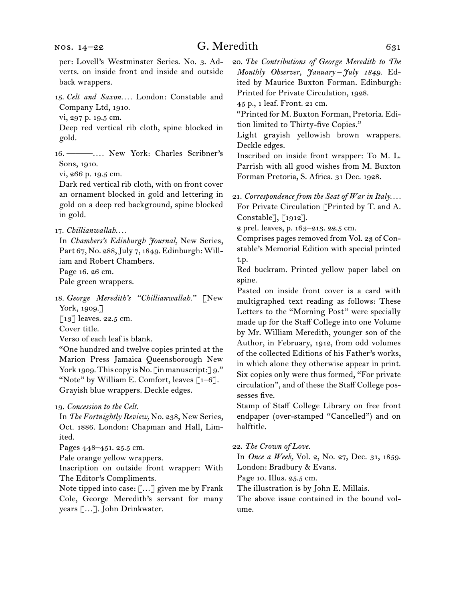# G. Meredith 631

per: Lovell's Westminster Series. No. 3. Adverts. on inside front and inside and outside back wrappers.

15. *Celt and Saxon. . . .* London: Constable and Company Ltd, 1910.

vi, 297 p. 19.5 cm.

Deep red vertical rib cloth, spine blocked in gold.

16. ———*. . . .* New York: Charles Scribner's Sons, 1910.

vi, 266 p. 19.5 cm.

Dark red vertical rib cloth, with on front cover an ornament blocked in gold and lettering in gold on a deep red background, spine blocked in gold.

In *Chambers's Edinburgh Journal,* New Series, Part 67, No. 288, July 7, 1849. Edinburgh: William and Robert Chambers. Page 16. 26 cm. Pale green wrappers.

18. *George Meredith's "Chillianwallah."* [New York, 1909.]

 $\lceil 13 \rceil$  leaves. 22.5 cm.

Cover title.

Verso of each leaf is blank.

"One hundred and twelve copies printed at the Marion Press Jamaica Queensborough New York 1909. This copy is No.  $\lceil$  in manuscript: $\rceil$  9." "Note" by William E. Comfort, leaves  $\lceil 1-6 \rceil$ . Grayish blue wrappers. Deckle edges.

19. *Concession to the Celt.*

In *The Fortnightly Review,* No. 238, New Series, Oct. 1886. London: Chapman and Hall, Limited.

Pages 448–451. 25.5 cm.

Pale orange yellow wrappers.

Inscription on outside front wrapper: With The Editor's Compliments.

Note tipped into case: […] given me by Frank Cole, George Meredith's servant for many years […]. John Drinkwater.

20. *The Contributions of George Meredith to The Monthly Observer, January –July 1849.* Edited by Maurice Buxton Forman. Edinburgh: Printed for Private Circulation, 1928.

45 p., 1 leaf. Front. 21 cm.

"Printed for M. Buxton Forman, Pretoria. Edition limited to Thirty-five Copies."

Light grayish yellowish brown wrappers. Deckle edges.

Inscribed on inside front wrapper: To M. L. Parrish with all good wishes from M. Buxton Forman Pretoria, S. Africa. 31 Dec. 1928.

21. *Correspondence from the Seat of War in Italy. . . .* For Private Circulation [Printed by T. and A. Constable], [1912].

2 prel. leaves, p. 163–213. 22.5 cm.

Comprises pages removed from Vol. 23 of Constable's Memorial Edition with special printed t.p.

Red buckram. Printed yellow paper label on spine.

Pasted on inside front cover is a card with multigraphed text reading as follows: These Letters to the "Morning Post" were specially made up for the Staff College into one Volume by Mr. William Meredith, younger son of the Author, in February, 1912, from odd volumes of the collected Editions of his Father's works, in which alone they otherwise appear in print. Six copies only were thus formed, "For private circulation", and of these the Staff College possesses five.

Stamp of Staff College Library on free front endpaper (over-stamped "Cancelled") and on halftitle.

#### 22. *The Crown of Love.*

In *Once a Week,* Vol. 2, No. 27, Dec. 31, 1859. London: Bradbury & Evans.

Page 10. Illus. 25.5 cm.

The illustration is by John E. Millais.

The above issue contained in the bound volume.

<sup>17.</sup> *Chillianwallah. . . .*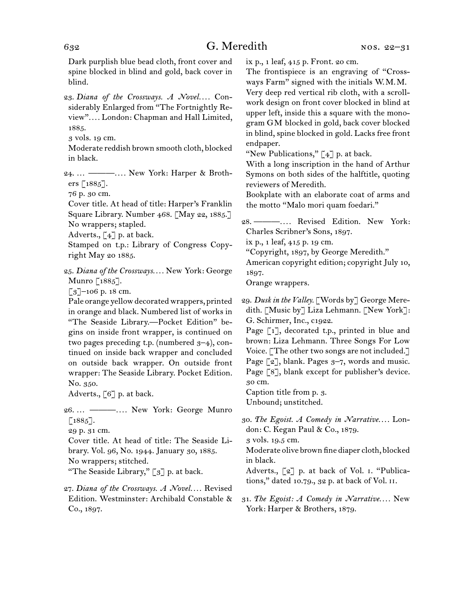Dark purplish blue bead cloth, front cover and spine blocked in blind and gold, back cover in blind.

23. Diana of the Crossways. A Novel.... Considerably Enlarged from "The Fortnightly Review"*. . . .* London: Chapman and Hall Limited, 1885.

3 vols. 19 cm.

Moderate reddish brown smooth cloth, blocked in black.

24. … ———*. . . .* New York: Harper & Brothers [1885].

76 p. 30 cm.

Cover title. At head of title: Harper's Franklin Square Library. Number 468. [May 22, 1885.] No wrappers; stapled.

Adverts.,  $\lceil 4 \rceil$  p. at back.

Stamped on t.p.: Library of Congress Copyright May 20 1885.

25. *Diana of the Crossways. . . .* New York: George Munro [1885].

 $\lceil 3 \rceil$ –106 p. 18 cm.

Pale orange yellow decorated wrappers, printed in orange and black. Numbered list of works in "The Seaside Library.—Pocket Edition" begins on inside front wrapper, is continued on two pages preceding t.p. (numbered  $3-4$ ), continued on inside back wrapper and concluded on outside back wrapper. On outside front wrapper: The Seaside Library. Pocket Edition. No. 350.

Adverts., [6] p. at back.

26. … ———*. . . .* New York: George Munro  $\lceil 1885 \rceil$ .

29 p. 31 cm.

Cover title. At head of title: The Seaside Library. Vol. 96, No. 1944. January 30, 1885. No wrappers; stitched.

"The Seaside Library," [3] p. at back.

ix p., 1 leaf, 415 p. Front. 20 cm.

The frontispiece is an engraving of "Crossways Farm" signed with the initials W.M.M. Very deep red vertical rib cloth, with a scroll-

work design on front cover blocked in blind at upper left, inside this a square with the monogram GM blocked in gold, back cover blocked in blind, spine blocked in gold. Lacks free front endpaper.

"New Publications,"  $\lceil 4 \rceil$  p. at back.

With a long inscription in the hand of Arthur Symons on both sides of the halftitle, quoting reviewers of Meredith.

Bookplate with an elaborate coat of arms and the motto "Malo mori quam foedari."

28. ———*. . . .* Revised Edition. New York: Charles Scribner's Sons, 1897.

ix p., 1 leaf, 415 p. 19 cm.

"Copyright, 1897, by George Meredith."

American copyright edition; copyright July 10, 1897.

Orange wrappers.

29. *Dusk in the Valley.* [Words by] George Meredith. [Music by] Liza Lehmann. [New York]: G. Schirmer, Inc., c1922.

Page [1], decorated t.p., printed in blue and brown: Liza Lehmann. Three Songs For Low Voice. [The other two songs are not included.] Page  $\lceil 2 \rceil$ , blank. Pages  $3-7$ , words and music. Page [8], blank except for publisher's device. 30 cm.

Caption title from p. 3.

Unbound; unstitched.

30. *The Egoist. A Comedy in Narrative. . . .* London: C. Kegan Paul & Co., 1879.

3 vols. 19.5 cm.

Moderate olive brown fine diaper cloth, blocked in black.

Adverts., [2] p. at back of Vol. i. "Publications," dated 10.79., 32 p. at back of Vol. ii.

31. *The Egoist: A Comedy in Narrative. . . .* New York: Harper & Brothers, 1879.

<sup>27.</sup> *Diana of the Crossways. A Novel. . . .* Revised Edition. Westminster: Archibald Constable & Co., 1897.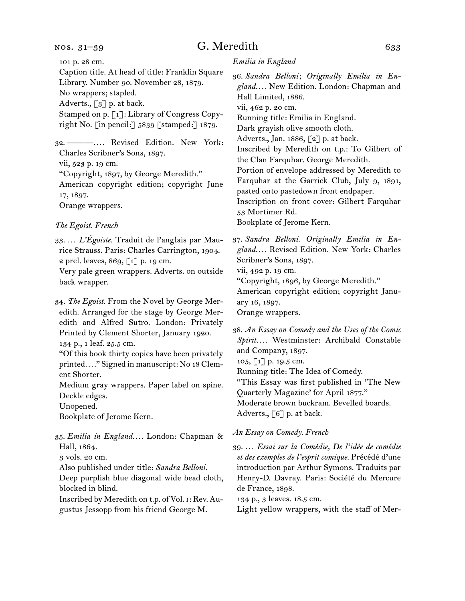#### nos. 31–39

# G. Meredith 633

101 p. 28 cm. Caption title. At head of title: Franklin Square

Library. Number 90. November 28, 1879. No wrappers; stapled. Adverts.,  $\lceil 3 \rceil$  p. at back. Stamped on p. [1]: Library of Congress Copy-

right No. [in pencil:] 5839 [stamped:] 1879.

32. ———*. . . .* Revised Edition. New York: Charles Scribner's Sons, 1897. vii, 523 p. 19 cm.

"Copyright, 1897, by George Meredith." American copyright edition; copyright June 17, 1897. Orange wrappers.

#### *The Egoist. French*

33. … *L'Égoiste.* Traduit de l'anglais par Maurice Strauss. Paris: Charles Carrington, 1904. 2 prel. leaves, 869, [1] p. 19 cm.

Very pale green wrappers. Adverts. on outside back wrapper.

34. *The Egoist.* From the Novel by George Meredith. Arranged for the stage by George Meredith and Alfred Sutro. London: Privately Printed by Clement Shorter, January 1920.

134 p., 1 leaf. 25.5 cm.

"Of this book thirty copies have been privately printed*. . . .*" Signed in manuscript: No 18 Clement Shorter.

Medium gray wrappers. Paper label on spine. Deckle edges.

Unopened.

Bookplate of Jerome Kern.

35. *Emilia in England. . . .* London: Chapman & Hall, 1864.

3 vols. 20 cm.

Also published under title: *Sandra Belloni.*

Deep purplish blue diagonal wide bead cloth, blocked in blind.

Inscribed by Meredith on t.p. of Vol. i: Rev. Augustus Jessopp from his friend George M.

*Emilia in England*

36. *Sandra Belloni; Originally Emilia in England. . . .* New Edition. London: Chapman and Hall Limited, 1886.

vii, 462 p. 20 cm.

Running title: Emilia in England.

Dark grayish olive smooth cloth.

Adverts., Jan. 1886, [2] p. at back.

Inscribed by Meredith on t.p.: To Gilbert of the Clan Farquhar. George Meredith.

Portion of envelope addressed by Meredith to Farquhar at the Garrick Club, July 9, 1891, pasted onto pastedown front endpaper.

Inscription on front cover: Gilbert Farquhar

53 Mortimer Rd.

Bookplate of Jerome Kern.

37. *Sandra Belloni. Originally Emilia in England. . . .* Revised Edition. New York: Charles Scribner's Sons, 1897.

vii, 492 p. 19 cm.

"Copyright, 1896, by George Meredith."

American copyright edition; copyright January 16, 1897.

Orange wrappers.

38. *An Essay on Comedy and the Uses of the Comic Spirit. . . .* Westminster: Archibald Constable and Company, 1897.

105, [1] p. 19.5 cm.

Running title: The Idea of Comedy.

"This Essay was first published in 'The New Quarterly Magazine' for April 1877." Moderate brown buckram. Bevelled boards. Adverts., [6] p. at back.

#### *An Essay on Comedy. French*

39. … *Essai sur la Comédie, De l'idée de comédie et des exemples de l'esprit comique.* Précédé d'une introduction par Arthur Symons. Traduits par Henry-D. Davray. Paris: Société du Mercure de France, 1898.

134 p., 3 leaves. 18.5 cm.

Light yellow wrappers, with the staff of Mer-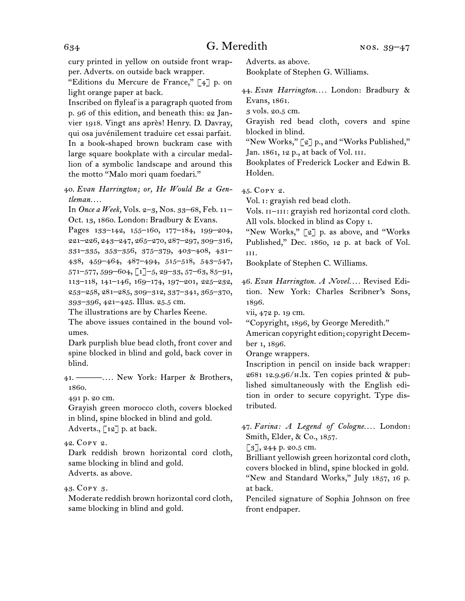cury printed in yellow on outside front wrapper. Adverts. on outside back wrapper.

"Editions du Mercure de France," [4] p. on light orange paper at back.

Inscribed on flyleaf is a paragraph quoted from p. 96 of this edition, and beneath this: 22 Janvier 1918. Vingt ans après! Henry. D. Davray, qui osa juvénilement traduire cet essai parfait. In a book-shaped brown buckram case with large square bookplate with a circular medallion of a symbolic landscape and around this the motto "Malo mori quam foedari."

40. *Evan Harrington; or, He Would Be a Gentleman. . . .*

In *Once a Week,* Vols. 2–3, Nos. 33–68, Feb. 11– Oct. 13, 1860. London: Bradbury & Evans.

Pages 133–142, 155–160, 177–184, 199–204, 221–226, 243–247, 265–270, 287–297, 309–316, 331–335, 353–356, 375–379, 403–408, 431– 438, 459–464, 487–494, 515–518, 543–547,  $571-577, 599-604, \lfloor 1 \rfloor -5, 29-33, 57-63, 85-91,$ 113–118, 141–146, 169–174, 197–201, 225–232, 253–258, 281–285, 309–312, 337–341, 365–370, 393–396, 421–425. Illus. 25.5 cm.

The illustrations are by Charles Keene.

The above issues contained in the bound volumes.

Dark purplish blue bead cloth, front cover and spine blocked in blind and gold, back cover in blind.

41. ———*. . . .* New York: Harper & Brothers, 1860.

491 p. 20 cm.

Grayish green morocco cloth, covers blocked in blind, spine blocked in blind and gold. Adverts.,  $\lceil 12 \rceil$  p. at back.

42. Copy 2.

Dark reddish brown horizontal cord cloth, same blocking in blind and gold. Adverts. as above.

43. Copy 3.

Moderate reddish brown horizontal cord cloth, same blocking in blind and gold.

Adverts. as above. Bookplate of Stephen G. Williams.

44. *Evan Harrington. . . .* London: Bradbury & Evans, 1861.

3 vols. 20.5 cm.

Grayish red bead cloth, covers and spine blocked in blind.

"New Works," [2] p., and "Works Published," Jan. 1861, 12 p., at back of Vol. iii.

Bookplates of Frederick Locker and Edwin B. Holden.

45. Copy 2.

Vol. i: grayish red bead cloth.

Vols.  $II$ - $III$ : grayish red horizontal cord cloth. All vols. blocked in blind as Copy 1.

"New Works," [2] p. as above, and "Works Published," Dec. 1860, 12 p. at back of Vol. iii.

Bookplate of Stephen C. Williams.

46. *Evan Harrington. A Novel. . . .* Revised Edition. New York: Charles Scribner's Sons, 1896.

vii, 472 p. 19 cm.

"Copyright, 1896, by George Meredith."

American copyright edition; copyright December 1, 1896.

Orange wrappers.

Inscription in pencil on inside back wrapper: 2681 12.9.96/h.lx. Ten copies printed & published simultaneously with the English edition in order to secure copyright. Type distributed.

47. *Farina: A Legend of Cologne. . . .* London: Smith, Elder, & Co., 1857.

 $\lceil 3 \rceil$ , 244 p. 20.5 cm.

Brilliant yellowish green horizontal cord cloth, covers blocked in blind, spine blocked in gold. "New and Standard Works," July 1857, 16 p. at back.

Penciled signature of Sophia Johnson on free front endpaper.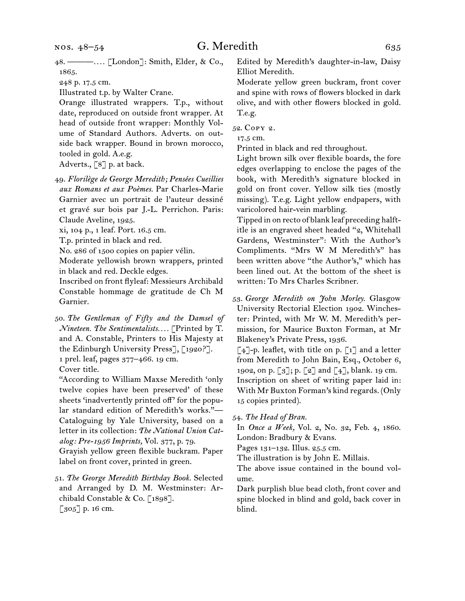48. ———*. . . .* [London]: Smith, Elder, & Co., 1865.

Illustrated t.p. by Walter Crane.

Orange illustrated wrappers. T.p., without date, reproduced on outside front wrapper. At head of outside front wrapper: Monthly Volume of Standard Authors. Adverts. on outside back wrapper. Bound in brown morocco, tooled in gold. A.e.g.

Adverts., [8] p. at back.

49. *Florilège de George Meredith; Pensées Cueillies aux Romans et aux Poèmes.* Par Charles-Marie Garnier avec un portrait de l'auteur dessiné et gravé sur bois par J.-L. Perrichon. Paris: Claude Aveline, 1925.

xi, 104 p., 1 leaf. Port. 16.5 cm.

T.p. printed in black and red.

No. 286 of 1500 copies on papier vélin.

Moderate yellowish brown wrappers, printed in black and red. Deckle edges.

Inscribed on front flyleaf: Messieurs Archibald Constable hommage de gratitude de Ch M Garnier.

50. *The Gentleman of Fifty and the Damsel of Nineteen. The Sentimentalists. . . .* [Printed by T. and A. Constable, Printers to His Majesty at the Edinburgh University Press], [1920?]. 1 prel. leaf, pages 377–466. 19 cm. Cover title.

"According to William Maxse Meredith 'only twelve copies have been preserved' of these sheets 'inadvertently printed off' for the popular standard edition of Meredith's works."— Cataloguing by Yale University, based on a letter in its collection: *The National Union Catalog: Pre-1956 Imprints,* Vol. 377, p. 79. Grayish yellow green flexible buckram. Paper label on front cover, printed in green.

51. *The George Meredith Birthday Book.* Selected and Arranged by D. M. Westminster: Archibald Constable & Co. [1898]. [305] p. 16 cm.

Edited by Meredith's daughter-in-law, Daisy Elliot Meredith.

Moderate yellow green buckram, front cover and spine with rows of flowers blocked in dark olive, and with other flowers blocked in gold. T.e.g.

52. Copy 2.

17.5 cm.

Printed in black and red throughout.

Light brown silk over flexible boards, the fore edges overlapping to enclose the pages of the book, with Meredith's signature blocked in gold on front cover. Yellow silk ties (mostly missing). T.e.g. Light yellow endpapers, with varicolored hair-vein marbling.

Tipped in on recto of blank leaf preceding halftitle is an engraved sheet headed "2, Whitehall Gardens, Westminster": With the Author's Compliments. "Mrs W M Meredith's" has been written above "the Author's," which has been lined out. At the bottom of the sheet is written: To Mrs Charles Scribner.

53. *George Meredith on John Morley.* Glasgow University Rectorial Election 1902. Winchester: Printed, with Mr W. M. Meredith's permission, for Maurice Buxton Forman, at Mr Blakeney's Private Press, 1936.

 $[4]$ -p. leaflet, with title on p.  $[1]$  and a letter from Meredith to John Bain, Esq., October 6, 1902, on p. [3]; p. [2] and [4], blank. 19 cm. Inscription on sheet of writing paper laid in: With Mr Buxton Forman's kind regards. (Only 15 copies printed).

54. *The Head of Bran.*

In *Once a Week,* Vol. 2, No. 32, Feb. 4, 1860. London: Bradbury & Evans.

Pages 131–132. Illus. 25.5 cm.

The illustration is by John E. Millais.

The above issue contained in the bound volume.

Dark purplish blue bead cloth, front cover and spine blocked in blind and gold, back cover in blind.

<sup>248</sup> p. 17.5 cm.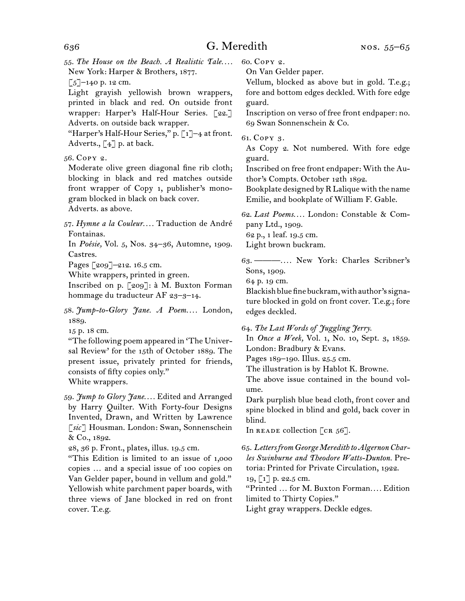$\left[\frac{5}{2}\right]$ –140 p. 12 cm.

Light grayish yellowish brown wrappers, printed in black and red. On outside front wrapper: Harper's Half-Hour Series. [22.] Adverts. on outside back wrapper.

"Harper's Half-Hour Series," p. [1]-4 at front. Adverts.,  $\lceil 4 \rceil$  p. at back.

56. Copy 2.

Moderate olive green diagonal fine rib cloth; blocking in black and red matches outside front wrapper of Copy 1, publisher's monogram blocked in black on back cover. Adverts. as above.

57. *Hymne a la Couleur. . . .* Traduction de André Fontainas.

In *Poésie,* Vol. 5, Nos. 34–36, Automne, 1909. Castres.

Pages [209]–212. 16.5 cm.

White wrappers, printed in green.

Inscribed on p. [209]: à M. Buxton Forman hommage du traducteur AF 23–3–14.

58. *Jump-to-Glory Jane. A Poem. . . .* London, 1889.

15 p. 18 cm.

"The following poem appeared in 'The Universal Review' for the 15th of October 1889. The present issue, privately printed for friends, consists of fifty copies only." White wrappers.

59. *Jump to Glory Jane. . . .* Edited and Arranged by Harry Quilter. With Forty-four Designs Invented, Drawn, and Written by Lawrence [*sic*] Housman. London: Swan, Sonnenschein & Co., 1892.

28, 36 p. Front., plates, illus. 19.5 cm.

"This Edition is limited to an issue of 1,000 copies … and a special issue of 100 copies on Van Gelder paper, bound in vellum and gold." Yellowish white parchment paper boards, with three views of Jane blocked in red on front cover. T.e.g.

60. Copy 2. On Van Gelder paper.

Vellum, blocked as above but in gold. T.e.g.; fore and bottom edges deckled. With fore edge guard.

Inscription on verso of free front endpaper: no. 69 Swan Sonnenschein & Co.

61. Copy 3.

As Copy 2. Not numbered. With fore edge guard.

Inscribed on free front endpaper: With the Author's Compts. October 12th 1892.

Bookplate designed by R Lalique with the name Emilie, and bookplate of William F. Gable.

62. *Last Poems. . . .* London: Constable & Company Ltd., 1909. 62 p., 1 leaf. 19.5 cm.

Light brown buckram.

63. ———*. . . .* New York: Charles Scribner's Sons, 1909.

64 p. 19 cm.

Blackish blue fine buckram, with author's signature blocked in gold on front cover. T.e.g.; fore edges deckled.

64. *The Last Words of Juggling Jerry.*

In *Once a Week,* Vol. 1, No. 10, Sept. 3, 1859. London: Bradbury & Evans.

Pages 189–190. Illus. 25.5 cm.

The illustration is by Hablot K. Browne.

The above issue contained in the bound volume.

Dark purplish blue bead cloth, front cover and spine blocked in blind and gold, back cover in blind.

In READE collection  $[\text{cr } 56]$ .

65. *Letters from George Meredith to Algernon Charles Swinburne and Theodore Watts-Dunton.* Pretoria: Printed for Private Circulation, 1922. 19, [1] p. 22.5 cm.

"Printed … for M. Buxton Forman*. . . .* Edition limited to Thirty Copies."

Light gray wrappers. Deckle edges.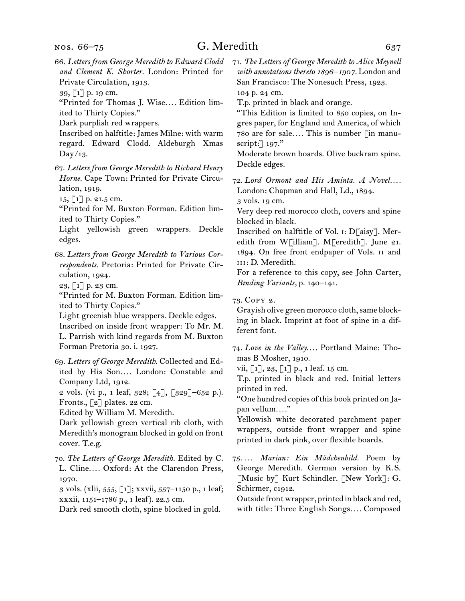# G. Meredith 637

66. *Letters from George Meredith to Edward Clodd and Clement K. Shorter.* London: Printed for Private Circulation, 1913.

39, [1] p. 19 cm.

"Printed for Thomas J. Wise*. . . .* Edition limited to Thirty Copies."

Dark purplish red wrappers.

Inscribed on halftitle: James Milne: with warm regard. Edward Clodd. Aldeburgh Xmas Day/13.

67. *Letters from George Meredith to Richard Henry Horne.* Cape Town: Printed for Private Circulation, 1919.

15, [1] p. 21.5 cm.

"Printed for M. Buxton Forman. Edition limited to Thirty Copies."

Light yellowish green wrappers. Deckle edges.

68. *Letters from George Meredith to Various Correspondents.* Pretoria: Printed for Private Circulation, 1924.

23, [1] p. 23 cm.

"Printed for M. Buxton Forman. Edition limited to Thirty Copies."

Light greenish blue wrappers. Deckle edges.

Inscribed on inside front wrapper: To Mr. M. L. Parrish with kind regards from M. Buxton Forman Pretoria 30. i. 1927.

69. *Letters of George Meredith.* Collected and Edited by His Son.... London: Constable and Company Ltd, 1912.

2 vols. (vi p., 1 leaf, 328; [4], [329]–652 p.). Fronts., [2] plates. 22 cm.

Edited by William M. Meredith.

Dark yellowish green vertical rib cloth, with Meredith's monogram blocked in gold on front cover. T.e.g.

70. *The Letters of George Meredith.* Edited by C. L. Cline*. . . .* Oxford: At the Clarendon Press, 1970.

3 vols. (xlii, 555, [1]; xxvii, 557–1150 p., 1 leaf; xxxii, 1151–1786 p., 1 leaf). 22.5 cm.

Dark red smooth cloth, spine blocked in gold.

71. *The Letters of George Meredith to Alice Meynell with annotations thereto 1896–1907.* London and San Francisco: The Nonesuch Press, 1923. 104 p. 24 cm.

T.p. printed in black and orange.

"This Edition is limited to 850 copies, on Ingres paper, for England and America, of which 780 are for sale*. . . .* This is number [in manuscript:] 197."

Moderate brown boards. Olive buckram spine. Deckle edges.

72. *Lord Ormont and His Aminta. A Novel. . . .* London: Chapman and Hall, Ld., 1894. 3 vols. 19 cm.

Very deep red morocco cloth, covers and spine blocked in black.

Inscribed on halftitle of Vol. i: D[aisy]. Meredith from W[illiam]. M[eredith]. June 21. 1894. On free front endpaper of Vols. ii and III: D. Meredith.

For a reference to this copy, see John Carter, *Binding Variants,* p. 140–141.

73. Copy 2.

Grayish olive green morocco cloth, same blocking in black. Imprint at foot of spine in a different font.

74. *Love in the Valley. . . .* Portland Maine: Thomas B Mosher, 1910.

vii, [1], 23, [1] p., 1 leaf. 15 cm.

T.p. printed in black and red. Initial letters printed in red.

"One hundred copies of this book printed on Japan vellum*. . . .*"

Yellowish white decorated parchment paper wrappers, outside front wrapper and spine printed in dark pink, over flexible boards.

75. … *Marian: Ein Mädchenbild.* Poem by George Meredith. German version by K.S. [Music by] Kurt Schindler. [New York]: G. Schirmer, c1912.

Outside front wrapper, printed in black and red, with title: Three English Songs*. . . .* Composed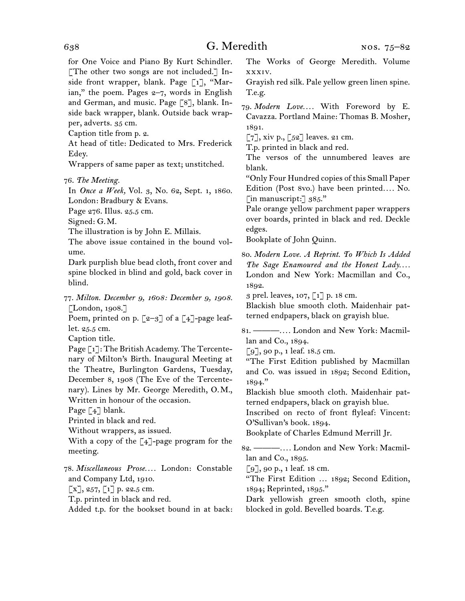for One Voice and Piano By Kurt Schindler. [The other two songs are not included.] Inside front wrapper, blank. Page [1], "Marian," the poem. Pages  $2-7$ , words in English and German, and music. Page [8], blank. Inside back wrapper, blank. Outside back wrapper, adverts. 35 cm.

Caption title from p. 2.

At head of title: Dedicated to Mrs. Frederick Edey.

Wrappers of same paper as text; unstitched.

In *Once a Week,* Vol. 3, No. 62, Sept. 1, 1860. London: Bradbury & Evans.

Page 276. Illus. 25.5 cm.

Signed: G.M.

The illustration is by John E. Millais.

The above issue contained in the bound volume.

Dark purplish blue bead cloth, front cover and spine blocked in blind and gold, back cover in blind.

77. *Milton. December 9, 1608: December 9, 1908.* [London, 1908.]

Poem, printed on p.  $\lceil 2-3 \rceil$  of a  $\lceil 4 \rceil$ -page leaflet. 25.5 cm.

Caption title.

Page [1]: The British Academy. The Tercentenary of Milton's Birth. Inaugural Meeting at the Theatre, Burlington Gardens, Tuesday, December 8, 1908 (The Eve of the Tercentenary). Lines by Mr. George Meredith, O.M., Written in honour of the occasion.

Page [4] blank.

Printed in black and red.

Without wrappers, as issued.

With a copy of the [4]-page program for the meeting.

78. *Miscellaneous Prose. . . .* London: Constable and Company Ltd, 1910.

 $\lbrack x \rbrack, 257, \lbrack 1 \rbrack$  p. 22.5 cm.

T.p. printed in black and red.

Added t.p. for the bookset bound in at back:

The Works of George Meredith. Volume xxxiv.

Grayish red silk. Pale yellow green linen spine. T.e.g.

79. *Modern Love. . . .* With Foreword by E. Cavazza. Portland Maine: Thomas B. Mosher, 1891.

 $\lbrack 7 \rbrack$ , xiv p.,  $\lbrack 52 \rbrack$  leaves. 21 cm.

T.p. printed in black and red.

The versos of the unnumbered leaves are blank.

"Only Four Hundred copies of this Small Paper Edition (Post 8vo.) have been printed.... No. [in manuscript:]  $385."$ 

Pale orange yellow parchment paper wrappers over boards, printed in black and red. Deckle edges.

Bookplate of John Quinn.

80. *Modern Love. A Reprint. To Which Is Added The Sage Enamoured and the Honest Lady. . . .* London and New York: Macmillan and Co., 1892.

3 prel. leaves, 107, [1] p. 18 cm.

Blackish blue smooth cloth. Maidenhair patterned endpapers, black on grayish blue.

81. ———*. . . .* London and New York: Macmillan and Co., 1894.

[9], 90 p., 1 leaf. 18.5 cm.

"The First Edition published by Macmillan and Co. was issued in 1892; Second Edition,  $1894.$ "

Blackish blue smooth cloth. Maidenhair patterned endpapers, black on grayish blue.

Inscribed on recto of front flyleaf: Vincent: O'Sullivan's book. 1894.

Bookplate of Charles Edmund Merrill Jr.

82. ———*. . . .* London and New York: Macmillan and Co., 1895.

 $\lceil 9 \rceil$ , 90 p., 1 leaf. 18 cm.

"The First Edition … 1892; Second Edition, 1894; Reprinted, 1895."

Dark yellowish green smooth cloth, spine blocked in gold. Bevelled boards. T.e.g.

<sup>76.</sup> *The Meeting.*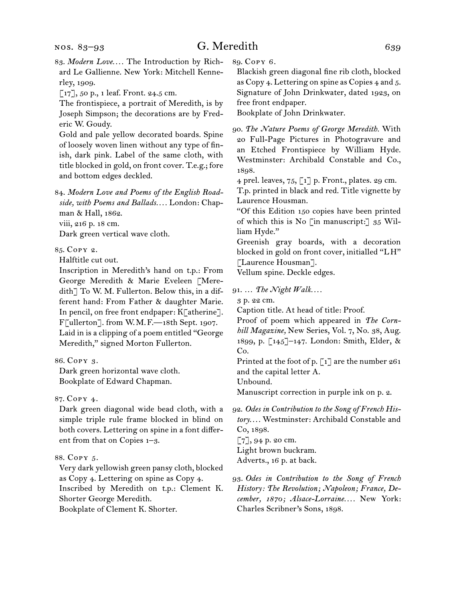- 83. *Modern Love. . . .* The Introduction by Richard Le Gallienne. New York: Mitchell Kennerley, 1909.
- [17], 50 p., 1 leaf. Front. 24.5 cm.

The frontispiece, a portrait of Meredith, is by Joseph Simpson; the decorations are by Frederic W. Goudy.

Gold and pale yellow decorated boards. Spine of loosely woven linen without any type of finish, dark pink. Label of the same cloth, with title blocked in gold, on front cover. T.e.g.; fore and bottom edges deckled.

84. *Modern Love and Poems of the English Roadside, with Poems and Ballads. . . .* London: Chapman & Hall, 1862. viii, 216 p. 18 cm.

Dark green vertical wave cloth.

85. Copy 2.

Halftitle cut out.

Inscription in Meredith's hand on t.p.: From George Meredith & Marie Eveleen [Meredith] To W. M. Fullerton. Below this, in a different hand: From Father & daughter Marie. In pencil, on free front endpaper: K[atherine]. F[ullerton]. from W.M.F.—18th Sept. 1907. Laid in is a clipping of a poem entitled "George Meredith," signed Morton Fullerton.

86. Copy 3.

Dark green horizontal wave cloth. Bookplate of Edward Chapman.

#### 87. Copy 4.

Dark green diagonal wide bead cloth, with a simple triple rule frame blocked in blind on both covers. Lettering on spine in a font different from that on Copies 1–3.

#### 88. Copy 5.

Very dark yellowish green pansy cloth, blocked as Copy 4. Lettering on spine as Copy 4. Inscribed by Meredith on t.p.: Clement K. Shorter George Meredith.

Bookplate of Clement K. Shorter.

89. Copy 6.

Blackish green diagonal fine rib cloth, blocked as Copy 4. Lettering on spine as Copies 4 and 5. Signature of John Drinkwater, dated 1923, on free front endpaper.

Bookplate of John Drinkwater.

90. *The Nature Poems of George Meredith.* With 20 Full-Page Pictures in Photogravure and an Etched Frontispiece by William Hyde. Westminster: Archibald Constable and Co., 1898.

4 prel. leaves,  $75$ ,  $\lceil 1 \rceil$  p. Front., plates. 29 cm.

T.p. printed in black and red. Title vignette by Laurence Housman.

"Of this Edition 150 copies have been printed of which this is No [in manuscript:] 35 William Hyde."

Greenish gray boards, with a decoration blocked in gold on front cover, initialled "LH" [Laurence Housman].

Vellum spine. Deckle edges.

91. … *The Night Walk. . . .*

3 p. 22 cm.

Caption title. At head of title: Proof.

Proof of poem which appeared in *The Cornhill Magazine,* New Series, Vol. 7, No. 38, Aug. 1899, p. [145]–147. London: Smith, Elder, & Co.

Printed at the foot of p.  $\lbrack 1 \rbrack$  are the number 261 and the capital letter A.

Unbound.

Manuscript correction in purple ink on p. 2.

92. *Odes in Contribution to the Song of French History. . . .* Westminster: Archibald Constable and Co, 1898.

[7], 94 p. 20 cm. Light brown buckram. Adverts., 16 p. at back.

93. *Odes in Contribution to the Song of French History: The Revolution; Napoleon; France, December, 1870; Alsace-Lorraine. . . .* New York: Charles Scribner's Sons, 1898.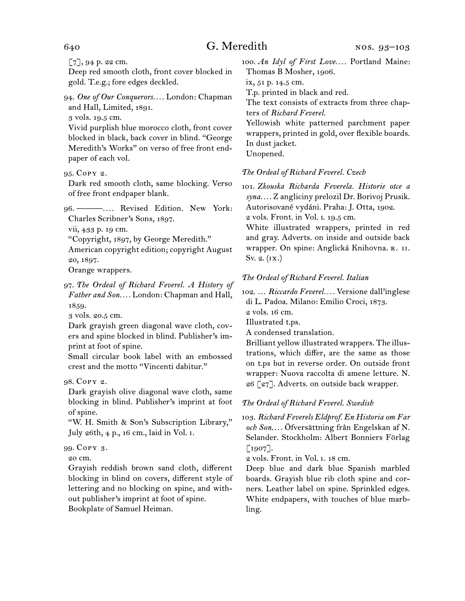[7], 94 p. 22 cm.

Deep red smooth cloth, front cover blocked in gold. T.e.g.; fore edges deckled.

94. *One of Our Conquerors. . . .* London: Chapman and Hall, Limited, 1891.

3 vols. 19.5 cm.

Vivid purplish blue morocco cloth, front cover blocked in black, back cover in blind. "George Meredith's Works" on verso of free front endpaper of each vol.

95. Copy 2.

Dark red smooth cloth, same blocking. Verso of free front endpaper blank.

96. ———*. . . .* Revised Edition. New York: Charles Scribner's Sons, 1897.

vii, 433 p. 19 cm.

"Copyright, 1897, by George Meredith."

American copyright edition; copyright August 20, 1897.

Orange wrappers.

97. *The Ordeal of Richard Feverel. A History of Father and Son. . . .* London: Chapman and Hall, 1859.

3 vols. 20.5 cm.

Dark grayish green diagonal wave cloth, covers and spine blocked in blind. Publisher's imprint at foot of spine.

Small circular book label with an embossed crest and the motto "Vincenti dabitur."

98. Copy 2.

Dark grayish olive diagonal wave cloth, same blocking in blind. Publisher's imprint at foot of spine.

"W. H. Smith & Son's Subscription Library," July 26th, 4 p., 16 cm., laid in Vol. i.

#### 99. Copy 3.

20 cm.

Grayish reddish brown sand cloth, different blocking in blind on covers, different style of lettering and no blocking on spine, and without publisher's imprint at foot of spine. Bookplate of Samuel Heiman.

100. *An Idyl of First Love. . . .* Portland Maine: Thomas B Mosher, 1906.

ix, 51 p. 14.5 cm.

T.p. printed in black and red.

The text consists of extracts from three chapters of *Richard Feverel.*

Yellowish white patterned parchment paper wrappers, printed in gold, over flexible boards. In dust jacket.

Unopened.

*The Ordeal of Richard Feverel. Czech*

101. *Zkouska Richarda Feverela. Historie otce a syna. . . .* Z angliciny prelozil Dr. Borivoj Prusik. Autorisované vydáni. Praha: J. Otta, 1902.

2 vols. Front. in Vol. i. 19.5 cm.

White illustrated wrappers, printed in red and gray. Adverts. on inside and outside back wrapper. On spine: Anglická Knihovna. r. II. Sv. 2. (ix.)

#### *The Ordeal of Richard Feverel. Italian*

102. … *Riccardo Feverel. . . .* Versione dall'inglese di L. Padoa. Milano: Emilio Croci, 1873.

2 vols. 16 cm.

Illustrated t.ps.

A condensed translation.

Brilliant yellow illustrated wrappers. The illustrations, which differ, are the same as those on t.ps but in reverse order. On outside front wrapper: Nuova raccolta di amene letture. N. 26 [27]. Adverts. on outside back wrapper.

#### *The Ordeal of Richard Feverel. Swedish*

103. *Richard Feverels Eldprof. En Historia om Far och Son. . . .* Öfversättning från Engelskan af N. Selander. Stockholm: Albert Bonniers Förlag  $\lceil 1907 \rceil$ .

2 vols. Front. in Vol. i. 18 cm.

Deep blue and dark blue Spanish marbled boards. Grayish blue rib cloth spine and corners. Leather label on spine. Sprinkled edges. White endpapers, with touches of blue marbling.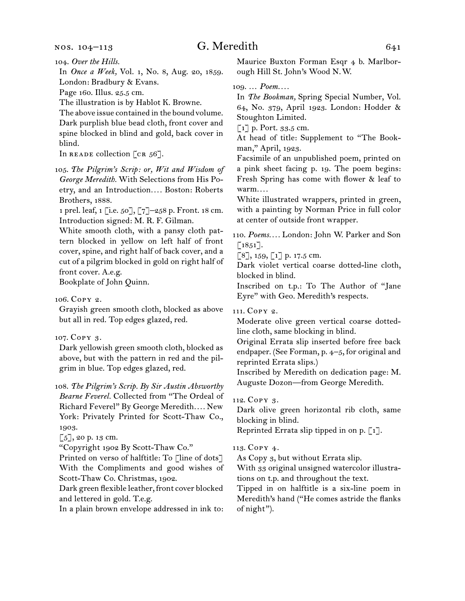#### nos. 104–113

# G. Meredith  $641$

In *Once a Week,* Vol. 1, No. 8, Aug. 20, 1859. London: Bradbury & Evans.

Page 160. Illus. 25.5 cm.

The illustration is by Hablot K. Browne.

The above issue contained in the bound volume. Dark purplish blue bead cloth, front cover and spine blocked in blind and gold, back cover in blind.

In READE collection  $[\text{cr } 56]$ .

105. *The Pilgrim's Scrip: or, Wit and Wisdom of George Meredith.* With Selections from His Poetry, and an Introduction*. . . .* Boston: Roberts Brothers, 1888.

1 prel. leaf, 1 [i.e. 50], [7]–258 p. Front. 18 cm. Introduction signed: M. R. F. Gilman.

White smooth cloth, with a pansy cloth pattern blocked in yellow on left half of front cover, spine, and right half of back cover, and a cut of a pilgrim blocked in gold on right half of front cover. A.e.g.

Bookplate of John Quinn.

106. Copy 2.

Grayish green smooth cloth, blocked as above but all in red. Top edges glazed, red.

#### 107. Copy 3.

Dark yellowish green smooth cloth, blocked as above, but with the pattern in red and the pilgrim in blue. Top edges glazed, red.

108. *The Pilgrim's Scrip. By Sir Austin Absworthy Bearne Feverel.* Collected from "The Ordeal of Richard Feverel" By George Meredith*. . . .* New York: Privately Printed for Scott-Thaw Co., 1903.

[5], 20 p. 13 cm.

"Copyright 1902 By Scott-Thaw Co."

Printed on verso of halftitle: To [line of dots] With the Compliments and good wishes of Scott-Thaw Co. Christmas, 1902.

Dark green flexible leather, front cover blocked and lettered in gold. T.e.g.

In a plain brown envelope addressed in ink to:

Maurice Buxton Forman Esqr 4 b. Marlborough Hill St. John's Wood N.W.

### 109. … *Poem. . . .*

In *The Bookman,* Spring Special Number, Vol. 64, No. 379, April 1923. London: Hodder & Stoughton Limited.

 $\lceil 1 \rceil$  p. Port. 33.5 cm.

At head of title: Supplement to "The Bookman," April, 1923.

Facsimile of an unpublished poem, printed on a pink sheet facing p. 19. The poem begins: Fresh Spring has come with flower & leaf to warm*. . . .*

White illustrated wrappers, printed in green, with a painting by Norman Price in full color at center of outside front wrapper.

110. *Poems. . . .* London: John W. Parker and Son  $\lceil 1851 \rceil$ .

 $\lceil 8 \rceil$ , 159,  $\lceil 1 \rceil$  p. 17.5 cm.

Dark violet vertical coarse dotted-line cloth, blocked in blind.

Inscribed on t.p.: To The Author of "Jane Eyre" with Geo. Meredith's respects.

111. Copy 2.

Moderate olive green vertical coarse dottedline cloth, same blocking in blind.

Original Errata slip inserted before free back endpaper. (See Forman, p. 4–5, for original and reprinted Errata slips.)

Inscribed by Meredith on dedication page: M. Auguste Dozon—from George Meredith.

## 112. Copy 3.

Dark olive green horizontal rib cloth, same blocking in blind.

Reprinted Errata slip tipped in on p.  $\lceil 1 \rceil$ .

#### 113. Copy 4.

As Copy 3, but without Errata slip.

With 33 original unsigned watercolor illustrations on t.p. and throughout the text.

Tipped in on halftitle is a six-line poem in Meredith's hand ("He comes astride the flanks of night").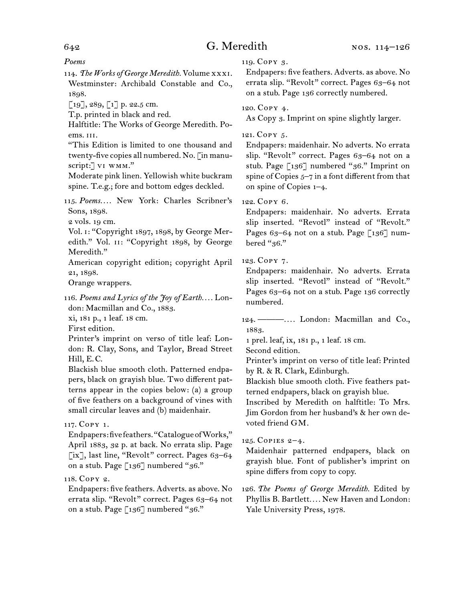# 642 G. Meredith

*Poems*

114. *The Works of George Meredith.* Volume xxxi. Westminster: Archibald Constable and Co., 1898.

 $[19]$ , 289,  $[1]$  p. 22.5 cm.

T.p. printed in black and red.

Halftitle: The Works of George Meredith. Poems. iii.

"This Edition is limited to one thousand and twenty-five copies all numbered. No. [in manuscript: J VI WMM."

Moderate pink linen. Yellowish white buckram spine. T.e.g.; fore and bottom edges deckled.

115. *Poems. . . .* New York: Charles Scribner's Sons, 1898.

2 vols. 19 cm.

Vol. i: "Copyright 1897, 1898, by George Meredith." Vol. II: "Copyright 1898, by George Meredith."

American copyright edition; copyright April 21, 1898.

Orange wrappers.

116. *Poems and Lyrics of the Joy of Earth. . . .* London: Macmillan and Co., 1883.

xi, 181 p., 1 leaf. 18 cm.

First edition.

Printer's imprint on verso of title leaf: London: R. Clay, Sons, and Taylor, Bread Street Hill, E.C.

Blackish blue smooth cloth. Patterned endpapers, black on grayish blue. Two different patterns appear in the copies below: (a) a group of five feathers on a background of vines with small circular leaves and (b) maidenhair.

## 117. Copy 1.

Endpapers: five feathers. "Catalogue of Works," April 1883, 32 p. at back. No errata slip. Page [ix], last line, "Revolt" correct. Pages 63-64 on a stub. Page  $\lceil 136 \rceil$  numbered "36."

## 118. Copy 2.

Endpapers: five feathers. Adverts. as above. No errata slip. "Revolt" correct. Pages 63-64 not on a stub. Page [136] numbered "36."

119. Copy 3.

Endpapers: five feathers. Adverts. as above. No errata slip. "Revolt" correct. Pages 63–64 not on a stub. Page 136 correctly numbered.

120. Copy 4.

As Copy 3. Imprint on spine slightly larger.

### 121. Copy 5.

Endpapers: maidenhair. No adverts. No errata slip. "Revolt" correct. Pages 63-64 not on a stub. Page [136] numbered "36." Imprint on spine of Copies  $5-7$  in a font different from that on spine of Copies 1–4.

### 122. Copy 6.

Endpapers: maidenhair. No adverts. Errata slip inserted. "Revotl" instead of "Revolt." Pages 63-64 not on a stub. Page  $\lceil 136 \rceil$  numbered "36."

## 123. Copy 7.

Endpapers: maidenhair. No adverts. Errata slip inserted. "Revotl" instead of "Revolt." Pages 63–64 not on a stub. Page 136 correctly numbered.

124. ———*. . . .* London: Macmillan and Co., 1883.

1 prel. leaf, ix, 181 p., 1 leaf. 18 cm.

Second edition.

Printer's imprint on verso of title leaf: Printed by R. & R. Clark, Edinburgh.

Blackish blue smooth cloth. Five feathers patterned endpapers, black on grayish blue.

Inscribed by Meredith on halftitle: To Mrs. Jim Gordon from her husband's & her own devoted friend GM.

## 125. Copies 2–4.

Maidenhair patterned endpapers, black on grayish blue. Font of publisher's imprint on spine differs from copy to copy.

126. *The Poems of George Meredith.* Edited by Phyllis B. Bartlett*. . . .* New Haven and London: Yale University Press, 1978.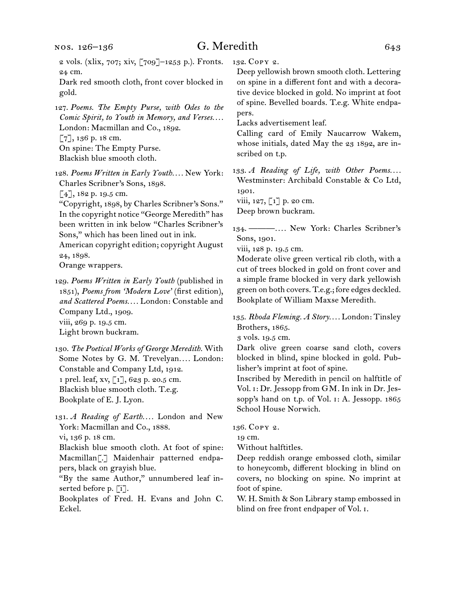# G. Meredith 643

2 vols. (xlix, 707; xiv, [709]–1253 p.). Fronts. 24 cm.

Dark red smooth cloth, front cover blocked in gold.

127. *Poems. The Empty Purse, with Odes to the Comic Spirit, to Youth in Memory, and Verses. . . .*  London: Macmillan and Co., 1892. [7], 136 p. 18 cm. On spine: The Empty Purse. Blackish blue smooth cloth.

128. *Poems Written in Early Youth. . . .* New York: Charles Scribner's Sons, 1898.

 $[4]$ , 182 p. 19.5 cm.

"Copyright, 1898, by Charles Scribner's Sons." In the copyright notice "George Meredith" has been written in ink below "Charles Scribner's Sons," which has been lined out in ink.

American copyright edition; copyright August 24, 1898.

Orange wrappers.

129. *Poems Written in Early Youth* (published in 1851), *Poems from 'Modern Love'* (first edition), *and Scattered Poems. . . .* London: Constable and Company Ltd., 1909. viii, 269 p. 19.5 cm. Light brown buckram.

130. *The Poetical Works of George Meredith.* With Some Notes by G. M. Trevelyan.... London: Constable and Company Ltd, 1912. 1 prel. leaf, xv, [1], 623 p. 20.5 cm. Blackish blue smooth cloth. T.e.g. Bookplate of E. J. Lyon.

131. *A Reading of Earth....* London and New York: Macmillan and Co., 1888. vi, 136 p. 18 cm.

Blackish blue smooth cloth. At foot of spine: Macmillan[.] Maidenhair patterned endpapers, black on grayish blue.

"By the same Author," unnumbered leaf inserted before p. [i].

Bookplates of Fred. H. Evans and John C. Eckel.

132. Copy 2.

Deep yellowish brown smooth cloth. Lettering on spine in a different font and with a decorative device blocked in gold. No imprint at foot of spine. Bevelled boards. T.e.g. White endpapers.

Lacks advertisement leaf.

Calling card of Emily Naucarrow Wakem, whose initials, dated May the 23 1892, are inscribed on t.p.

133. *A Reading of Life, with Other Poems....* Westminster: Archibald Constable & Co Ltd, 1901.

viii, 127,  $\lbrack 1 \rbrack$  p. 20 cm. Deep brown buckram.

134. ———*. . . .* New York: Charles Scribner's Sons, 1901.

viii, 128 p. 19.5 cm.

Moderate olive green vertical rib cloth, with a cut of trees blocked in gold on front cover and a simple frame blocked in very dark yellowish green on both covers. T.e.g.; fore edges deckled. Bookplate of William Maxse Meredith.

135. *Rhoda Fleming. A Story. . . .* London: Tinsley Brothers, 1865.

3 vols. 19.5 cm.

Dark olive green coarse sand cloth, covers blocked in blind, spine blocked in gold. Publisher's imprint at foot of spine.

Inscribed by Meredith in pencil on halftitle of Vol. i: Dr. Jessopp from GM. In ink in Dr. Jessopp's hand on t.p. of Vol. i: A. Jessopp. 1865 School House Norwich.

136. Copy 2.

19 cm.

Without halftitles.

Deep reddish orange embossed cloth, similar to honeycomb, different blocking in blind on covers, no blocking on spine. No imprint at foot of spine.

W. H. Smith & Son Library stamp embossed in blind on free front endpaper of Vol. i.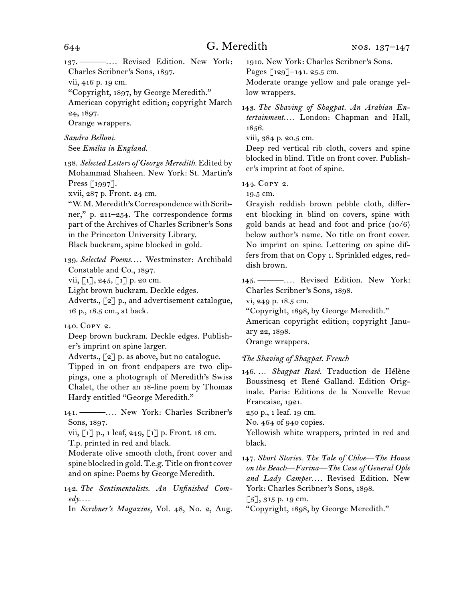137. ———*. . . .* Revised Edition. New York: Charles Scribner's Sons, 1897.

vii, 416 p. 19 cm.

"Copyright, 1897, by George Meredith."

American copyright edition; copyright March 24, 1897.

Orange wrappers.

*Sandra Belloni.* See *Emilia in England.*

138. *Selected Letters of George Meredith.* Edited by Mohammad Shaheen. New York: St. Martin's Press [1997].

xvii, 287 p. Front. 24 cm.

"W. M. Meredith's Correspondence with Scribner," p. 211–254. The correspondence forms part of the Archives of Charles Scribner's Sons in the Princeton University Library. Black buckram, spine blocked in gold.

139. *Selected Poems. . . .* Westminster: Archibald Constable and Co., 1897.

vii,  $\lceil 1 \rceil$ , 245,  $\lceil 1 \rceil$  p. 20 cm.

Light brown buckram. Deckle edges.

Adverts., [2] p., and advertisement catalogue, 16 p., 18.5 cm., at back.

140. Copy 2.

Deep brown buckram. Deckle edges. Publisher's imprint on spine larger.

Adverts.,  $\lceil 2 \rceil$  p. as above, but no catalogue. Tipped in on front endpapers are two clippings, one a photograph of Meredith's Swiss Chalet, the other an 18-line poem by Thomas Hardy entitled "George Meredith."

141. ———*. . . .* New York: Charles Scribner's Sons, 1897.

vii, [1] p., 1 leaf, 249, [1] p. Front. 18 cm. T.p. printed in red and black.

Moderate olive smooth cloth, front cover and spine blocked in gold. T.e.g. Title on front cover and on spine: Poems by George Meredith.

142. *The Sentimentalists. An Unfinished Com-* $\ell d\mathbf{y}$ ...

In *Scribner's Magazine,* Vol. 48, No. 2, Aug.

1910. New York: Charles Scribner's Sons.

Pages [129]-141. 25.5 cm.

Moderate orange yellow and pale orange yellow wrappers.

143. *The Shaving of Shagpat. An Arabian Entertainment. . . .* London: Chapman and Hall, 1856.

viii, 384 p. 20.5 cm.

Deep red vertical rib cloth, covers and spine blocked in blind. Title on front cover. Publisher's imprint at foot of spine.

144. Copy 2.

19.5 cm.

Grayish reddish brown pebble cloth, different blocking in blind on covers, spine with gold bands at head and foot and price (10/6) below author's name. No title on front cover. No imprint on spine. Lettering on spine differs from that on Copy 1. Sprinkled edges, reddish brown.

145. ———*. . . .* Revised Edition. New York: Charles Scribner's Sons, 1898.

vi, 249 p. 18.5 cm.

"Copyright, 1898, by George Meredith."

American copyright edition; copyright January 22, 1898.

Orange wrappers.

*The Shaving of Shagpat. French*

146. … *Shagpat Rasé.* Traduction de Hélène Boussinesq et René Galland. Edition Originale. Paris: Editions de la Nouvelle Revue Francaise, 1921.

250 p., 1 leaf. 19 cm.

No. 464 of 940 copies.

Yellowish white wrappers, printed in red and black.

147. *Short Stories. The Tale of Chloe—The House on the Beach—Farina—The Case of General Ople and Lady Camper. . . .* Revised Edition. New York: Charles Scribner's Sons, 1898.

 $[5]$ , 315 p. 19 cm.

"Copyright, 1898, by George Meredith."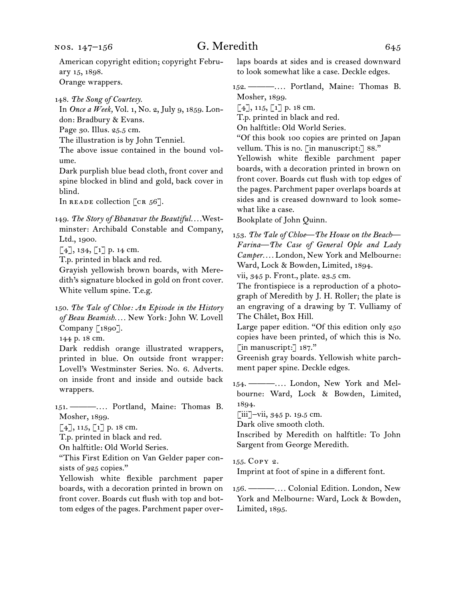American copyright edition; copyright February 15, 1898.

Orange wrappers.

148. *The Song of Courtesy.*

In *Once a Week,* Vol. 1, No. 2, July 9, 1859. London: Bradbury & Evans.

Page 30. Illus. 25.5 cm.

The illustration is by John Tenniel.

The above issue contained in the bound volume.

Dark purplish blue bead cloth, front cover and spine blocked in blind and gold, back cover in blind.

In READE collection  $[\text{cr } 56]$ .

149. *The Story of Bhanavar the Beautiful. . . .*Westminster: Archibald Constable and Company, Ltd., 1900.

 $[4]$ , 134,  $[1]$  p. 14 cm.

T.p. printed in black and red.

Grayish yellowish brown boards, with Meredith's signature blocked in gold on front cover. White vellum spine. T.e.g.

150. *The Tale of Chloe: An Episode in the History of Beau Beamish. . . .* New York: John W. Lovell Company [1890].

144 p. 18 cm.

Dark reddish orange illustrated wrappers, printed in blue. On outside front wrapper: Lovell's Westminster Series. No. 6. Adverts. on inside front and inside and outside back wrappers.

151. ———*. . . .* Portland, Maine: Thomas B. Mosher, 1899.

 $[4]$ , 115,  $[1]$  p. 18 cm.

T.p. printed in black and red.

On halftitle: Old World Series.

"This First Edition on Van Gelder paper consists of 925 copies."

Yellowish white flexible parchment paper boards, with a decoration printed in brown on front cover. Boards cut flush with top and bottom edges of the pages. Parchment paper overlaps boards at sides and is creased downward to look somewhat like a case. Deckle edges.

152. ———*. . . .* Portland, Maine: Thomas B. Mosher, 1899.

 $[4]$ , 115,  $[1]$  p. 18 cm.

T.p. printed in black and red.

On halftitle: Old World Series.

"Of this book 100 copies are printed on Japan vellum. This is no. [in manuscript:] 88."

Yellowish white flexible parchment paper boards, with a decoration printed in brown on front cover. Boards cut flush with top edges of the pages. Parchment paper overlaps boards at sides and is creased downward to look somewhat like a case.

Bookplate of John Quinn.

153. *The Tale of Chloe—The House on the Beach— Farina—The Case of General Ople and Lady Camper. . . .* London, New York and Melbourne: Ward, Lock & Bowden, Limited, 1894.

vii, 345 p. Front., plate. 23.5 cm.

The frontispiece is a reproduction of a photograph of Meredith by J. H. Roller; the plate is an engraving of a drawing by T. Vulliamy of The Châlet, Box Hill.

Large paper edition. "Of this edition only 250 copies have been printed, of which this is No. [in manuscript:] 187."

Greenish gray boards. Yellowish white parchment paper spine. Deckle edges.

154. ———*. . . .* London, New York and Melbourne: Ward, Lock & Bowden, Limited, 1894.

[iii]–vii, 345 p. 19.5 cm.

Dark olive smooth cloth.

Inscribed by Meredith on halftitle: To John Sargent from George Meredith.

155. Copy 2.

Imprint at foot of spine in a different font.

156. ———*. . . .* Colonial Edition. London, New York and Melbourne: Ward, Lock & Bowden, Limited, 1895.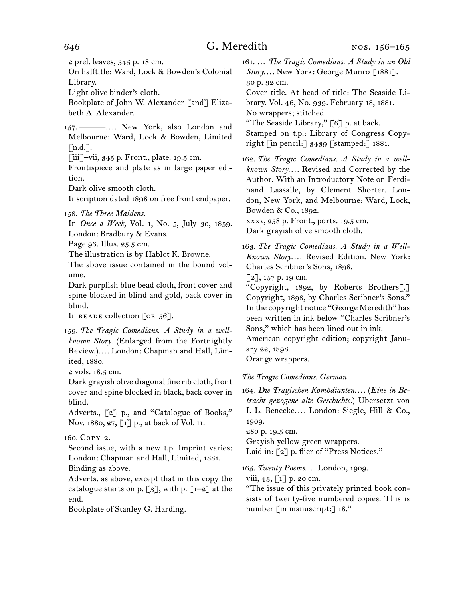2 prel. leaves, 345 p. 18 cm.

On halftitle: Ward, Lock & Bowden's Colonial Library.

Light olive binder's cloth.

Bookplate of John W. Alexander [and] Elizabeth A. Alexander.

157. ———*. . . .* New York, also London and Melbourne: Ward, Lock & Bowden, Limited  $\lceil$ n.d.].

[iii]–vii, 345 p. Front., plate. 19.5 cm.

Frontispiece and plate as in large paper edition.

Dark olive smooth cloth.

Inscription dated 1898 on free front endpaper.

158. *The Three Maidens.*

In *Once a Week,* Vol. 1, No. 5, July 30, 1859. London: Bradbury & Evans.

Page 96. Illus. 25.5 cm.

The illustration is by Hablot K. Browne.

The above issue contained in the bound volume.

Dark purplish blue bead cloth, front cover and spine blocked in blind and gold, back cover in blind.

In READE collection  $[\text{cr } 56]$ .

159. *The Tragic Comedians. A Study in a wellknown Story.* (Enlarged from the Fortnightly Review.)*. . . .* London: Chapman and Hall, Limited, 1880.

2 vols. 18.5 cm.

Dark grayish olive diagonal fine rib cloth, front cover and spine blocked in black, back cover in blind.

Adverts., [2] p., and "Catalogue of Books," Nov. 1880, 27, [1] p., at back of Vol. II.

160. Copy 2.

Second issue, with a new t.p. Imprint varies: London: Chapman and Hall, Limited, 1881. Binding as above.

Adverts. as above, except that in this copy the catalogue starts on p.  $\lceil 3 \rceil$ , with p.  $\lceil 1-2 \rceil$  at the end.

Bookplate of Stanley G. Harding.

161. … *The Tragic Comedians. A Study in an Old Story. . . .* New York: George Munro [1881].

30 p. 32 cm. Cover title. At head of title: The Seaside Library. Vol. 46, No. 939. February 18, 1881.

No wrappers; stitched.

"The Seaside Library,"  $\lceil 6 \rceil$  p. at back.

Stamped on t.p.: Library of Congress Copyright [in pencil:] 3439 [stamped:] 1881.

162. *The Tragic Comedians. A Study in a wellknown Story. . . .* Revised and Corrected by the Author. With an Introductory Note on Ferdinand Lassalle, by Clement Shorter. London, New York, and Melbourne: Ward, Lock, Bowden & Co., 1892.

xxxv, 258 p. Front., ports. 19.5 cm.

Dark grayish olive smooth cloth.

163. *The Tragic Comedians. A Study in a Well-Known Story. . . .* Revised Edition. New York: Charles Scribner's Sons, 1898.

 $[2]$ , 157 p. 19 cm.

"Copyright, 1892, by Roberts Brothers[.] Copyright, 1898, by Charles Scribner's Sons." In the copyright notice "George Meredith" has been written in ink below "Charles Scribner's Sons," which has been lined out in ink.

American copyright edition; copyright January 22, 1898.

Orange wrappers.

*The Tragic Comedians. German*

164. *Die Tragischen Komödianten. . . .* (*Eine in Betracht gezogene alte Geschichte.*) Ubersetzt von I. L. Benecke*. . . .* London: Siegle, Hill & Co., 1909.

280 p. 19.5 cm.

Grayish yellow green wrappers.

Laid in: [2] p. flier of "Press Notices."

165. *Twenty Poems. . . .* London, 1909.

viii, 43,  $\lceil 1 \rceil$  p. 20 cm.

"The issue of this privately printed book consists of twenty-five numbered copies. This is number [in manuscript:] 18."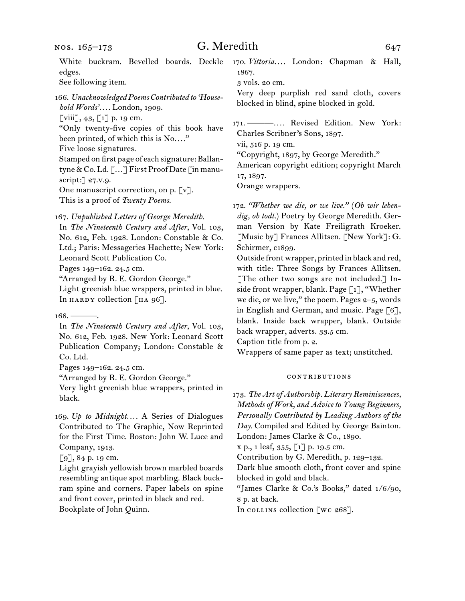nos. 165–173

## G. Meredith 647

White buckram. Bevelled boards. Deckle edges.

See following item.

166. *Unacknowledged Poems Contributed to 'Household Words'. . . .* London, 1909.

 $\left[\begin{matrix} \text{viii} \end{matrix}\right], 43, \left[\begin{matrix} 1 \end{matrix}\right]$  p. 19 cm.

"Only twenty-five copies of this book have been printed, of which this is No*. . . .*"

Five loose signatures.

Stamped on first page of each signature: Ballantyne & Co. Ld. […] First Proof Date [in manuscript:] 27.v.9.

One manuscript correction, on p. [v]. This is a proof of *Twenty Poems.*

167. *Unpublished Letters of George Meredith.*

In *The Nineteenth Century and After,* Vol. 103, No. 612, Feb. 1928. London: Constable & Co. Ltd.; Paris: Messageries Hachette; New York: Leonard Scott Publication Co.

Pages 149–162. 24.5 cm.

"Arranged by R. E. Gordon George."

Light greenish blue wrappers, printed in blue. In HARDY collection  $[HA 96]$ .

In *The Nineteenth Century and After,* Vol. 103, No. 612, Feb. 1928. New York: Leonard Scott Publication Company; London: Constable & Co. Ltd.

Pages 149–162. 24.5 cm.

"Arranged by R. E. Gordon George."

Very light greenish blue wrappers, printed in black.

169. *Up to Midnight. . . .* A Series of Dialogues Contributed to The Graphic, Now Reprinted for the First Time. Boston: John W. Luce and Company, 1913.

[9], 84 p. 19 cm.

Light grayish yellowish brown marbled boards resembling antique spot marbling. Black buckram spine and corners. Paper labels on spine and front cover, printed in black and red. Bookplate of John Quinn.

170. *Vittoria. . . .* London: Chapman & Hall, 1867.

3 vols. 20 cm.

Very deep purplish red sand cloth, covers blocked in blind, spine blocked in gold.

171. ———*. . . .* Revised Edition. New York: Charles Scribner's Sons, 1897.

vii, 516 p. 19 cm.

"Copyright, 1897, by George Meredith."

American copyright edition; copyright March 17, 1897.

Orange wrappers.

172. *"Whether we die, or we live."* (*Ob wir lebendig, ob todt.*) Poetry by George Meredith. German Version by Kate Freiligrath Kroeker. [Music by] Frances Allitsen. [New York]: G. Schirmer, c1899.

Outside front wrapper, printed in black and red, with title: Three Songs by Frances Allitsen. [The other two songs are not included.] Inside front wrapper, blank. Page [1], "Whether we die, or we live," the poem. Pages  $2-5$ , words in English and German, and music. Page [6], blank. Inside back wrapper, blank. Outside back wrapper, adverts. 33.5 cm.

Caption title from p. 2.

Wrappers of same paper as text; unstitched.

#### contributions

173. *The Art of Authorship. Literary Reminiscences, Methods of Work, and Advice to Young Beginners, Personally Contributed by Leading Authors of the Day.* Compiled and Edited by George Bainton. London: James Clarke & Co., 1890. x p., 1 leaf, 355, [1] p. 19.5 cm. Contribution by G. Meredith, p. 129–132. Dark blue smooth cloth, front cover and spine

blocked in gold and black.

"James Clarke & Co.'s Books," dated 1/6/90, 8 p. at back.

In collins collection [wc 268].

 $168.$  ——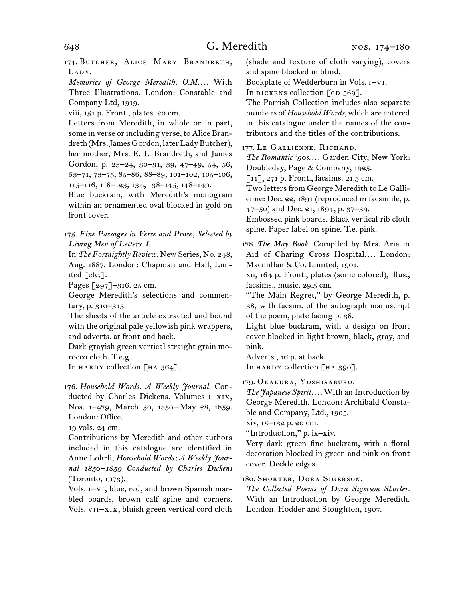174. BUTCHER, ALICE MARY BRANDRETH, LADY.

*Memories of George Meredith, O.M. . . .* With Three Illustrations. London: Constable and Company Ltd, 1919.

viii, 151 p. Front., plates. 20 cm.

Letters from Meredith, in whole or in part, some in verse or including verse, to Alice Brandreth (Mrs. James Gordon, later Lady Butcher), her mother, Mrs. E. L. Brandreth, and James Gordon, p. 23–24, 30–31, 39, 47–49, 54, 56, 63–71, 73–75, 85–86, 88–89, 101–102, 105–106, 115–116, 118–123, 134, 138–145, 148–149.

Blue buckram, with Meredith's monogram within an ornamented oval blocked in gold on front cover.

175. *Fine Passages in Verse and Prose; Selected by Living Men of Letters. I.*

In *The Fortnightly Review,* New Series, No. 248, Aug. 1887. London: Chapman and Hall, Limited [etc.].

Pages [297]–316. 25 cm.

George Meredith's selections and commentary, p. 310–313.

The sheets of the article extracted and bound with the original pale yellowish pink wrappers, and adverts. at front and back.

Dark grayish green vertical straight grain morocco cloth. T.e.g.

In HARDY collection  $[HA 364]$ .

176. *Household Words. A Weekly Journal.* Conducted by Charles Dickens. Volumes i–xix, Nos. 1-479, March 30, 1850-May 28, 1859. London: Office.

19 vols. 24 cm.

Contributions by Meredith and other authors included in this catalogue are identified in Anne Lohrli, *Household Words; A Weekly Journal 1850–1859 Conducted by Charles Dickens*  (Toronto, 1973).

Vols. i–vi, blue, red, and brown Spanish marbled boards, brown calf spine and corners. Vols. vii–xix, bluish green vertical cord cloth (shade and texture of cloth varying), covers and spine blocked in blind.

Bookplate of Wedderburn in Vols. i–vi.

In dickens collection  $\lceil$  cd  $569\rceil$ .

The Parrish Collection includes also separate numbers of *Household Words,* which are entered in this catalogue under the names of the contributors and the titles of the contributions.

177. Le Gallienne, Richard.

*The Romantic '90s. . . .* Garden City, New York: Doubleday, Page & Company, 1925.

[11], 271 p. Front., facsims. 21.5 cm.

Two letters from George Meredith to Le Gallienne: Dec. 22, 1891 (reproduced in facsimile, p. 47–50) and Dec. 21, 1894, p. 37–39.

Embossed pink boards. Black vertical rib cloth spine. Paper label on spine. T.e. pink.

178. *The May Book.* Compiled by Mrs. Aria in Aid of Charing Cross Hospital.... London: Macmillan & Co. Limited, 1901.

xii, 164 p. Front., plates (some colored), illus., facsims., music. 29.5 cm.

"The Main Regret," by George Meredith, p. 38, with facsim. of the autograph manuscript of the poem, plate facing p. 38.

Light blue buckram, with a design on front cover blocked in light brown, black, gray, and pink.

Adverts., 16 p. at back.

In HARDY collection [HA 390].

179. Okakura, Yoshisaburo.

*The Japanese Spirit. . . .* With an Introduction by George Meredith. London: Archibald Constable and Company, Ltd., 1905.

xiv, 15–132 p. 20 cm.

"Introduction," p. ix–xiv.

Very dark green fine buckram, with a floral decoration blocked in green and pink on front cover. Deckle edges.

180. Shorter, Dora Sigerson.

*The Collected Poems of Dora Sigerson Shorter.* With an Introduction by George Meredith. London: Hodder and Stoughton, 1907.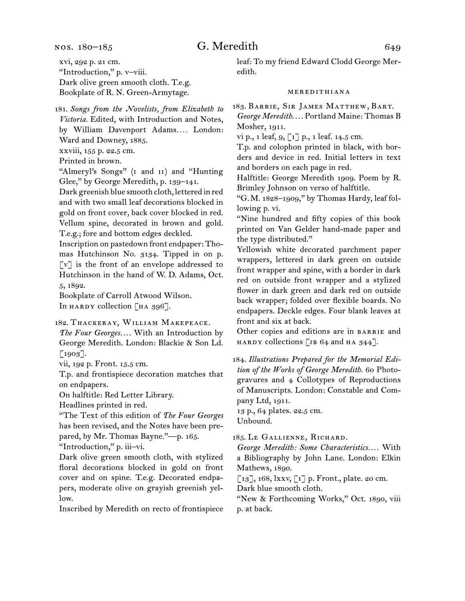nos. 180–185

# G. Meredith 649

xvi, 292 p. 21 cm. "Introduction," p. v–viii. Dark olive green smooth cloth. T.e.g. Bookplate of R. N. Green-Armytage.

181. *Songs from the Novelists, from Elizabeth to Victoria.* Edited, with Introduction and Notes, by William Davenport Adams*. . . .* London: Ward and Downey, 1885.

xxviii, 155 p. 22.5 cm.

Printed in brown.

"Almeryl's Songs" (i and ii) and "Hunting Glee," by George Meredith, p. 139–141.

Dark greenish blue smooth cloth, lettered in red and with two small leaf decorations blocked in gold on front cover, back cover blocked in red. Vellum spine, decorated in brown and gold. T.e.g.; fore and bottom edges deckled.

Inscription on pastedown front endpaper: Thomas Hutchinson No. 3134. Tipped in on p. [v] is the front of an envelope addressed to Hutchinson in the hand of W. D. Adams, Oct. 5, 1892.

Bookplate of Carroll Atwood Wilson. In HARDY collection  $\lceil$  HA 396].

182. Thackeray, William Makepeace.

*The Four Georges. . . .* With an Introduction by George Meredith. London: Blackie & Son Ld. [1903].

vii, 192 p. Front. 15.5 cm.

T.p. and frontispiece decoration matches that on endpapers.

On halftitle: Red Letter Library.

Headlines printed in red.

"The Text of this edition of *The Four Georges*  has been revised, and the Notes have been prepared, by Mr. Thomas Bayne."—p. 165.

"Introduction," p. iii–vi.

Dark olive green smooth cloth, with stylized floral decorations blocked in gold on front cover and on spine. T.e.g. Decorated endpapers, moderate olive on grayish greenish yellow.

Inscribed by Meredith on recto of frontispiece

leaf: To my friend Edward Clodd George Meredith.

#### meredithiana

183. Barrie, Sir James Matthew, Bart. *George Meredith. . . .* Portland Maine: Thomas B Mosher, 1911.

vi p., 1 leaf, 9, [1] p., 1 leaf. 14.5 cm.

T.p. and colophon printed in black, with borders and device in red. Initial letters in text and borders on each page in red.

Halftitle: George Meredith 1909. Poem by R. Brimley Johnson on verso of halftitle.

"G.M. 1828–1909," by Thomas Hardy, leaf following p. vi.

"Nine hundred and fifty copies of this book printed on Van Gelder hand-made paper and the type distributed."

Yellowish white decorated parchment paper wrappers, lettered in dark green on outside front wrapper and spine, with a border in dark red on outside front wrapper and a stylized flower in dark green and dark red on outside back wrapper; folded over flexible boards. No endpapers. Deckle edges. Four blank leaves at front and six at back.

Other copies and editions are in BARRIE and HARDY collections [JB 64 and HA  $344$ ].

184. *Illustrations Prepared for the Memorial Edition of the Works of George Meredith.* 60 Photogravures and 4 Collotypes of Reproductions of Manuscripts. London: Constable and Company Ltd, 1911.

13 p., 64 plates. 22.5 cm. Unbound.

185. Le Gallienne, Richard.

*George Meredith: Some Characteristics. . . .* With a Bibliography by John Lane. London: Elkin Mathews, 1890.

 $\lbrack 13 \rbrack$ , 168, lxxv,  $\lbrack 1 \rbrack$  p. Front., plate. 20 cm.

Dark blue smooth cloth.

"New & Forthcoming Works," Oct. 1890, viii p. at back.